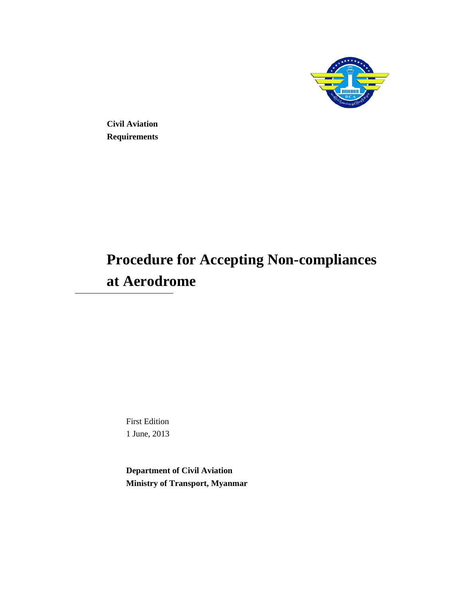

**Civil Aviation Requirements** 

# **Procedure for Accepting Non-compliances at Aerodrome**

First Edition 1 June, 2013

**Department of Civil Aviation Ministry of Transport, Myanmar**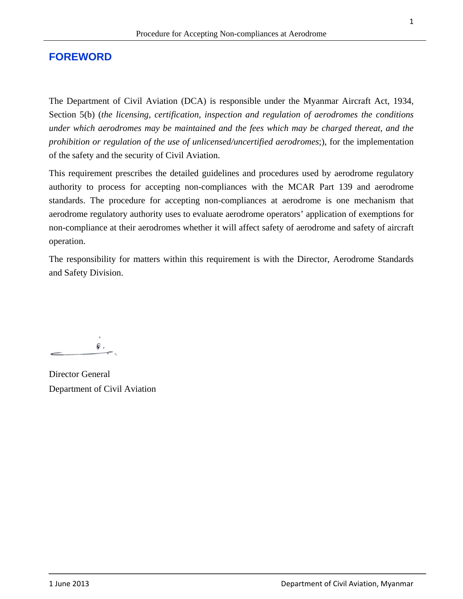# **FOREWORD**

The Department of Civil Aviation (DCA) is responsible under the Myanmar Aircraft Act, 1934, Section 5(b) (*the licensing, certification, inspection and regulation of aerodromes the conditions under which aerodromes may be maintained and the fees which may be charged thereat, and the prohibition or regulation of the use of unlicensed/uncertified aerodromes*;), for the implementation of the safety and the security of Civil Aviation.

This requirement prescribes the detailed guidelines and procedures used by aerodrome regulatory authority to process for accepting non-compliances with the MCAR Part 139 and aerodrome standards. The procedure for accepting non-compliances at aerodrome is one mechanism that aerodrome regulatory authority uses to evaluate aerodrome operators' application of exemptions for non-compliance at their aerodromes whether it will affect safety of aerodrome and safety of aircraft operation.

The responsibility for matters within this requirement is with the Director, Aerodrome Standards and Safety Division.

 $\mathbin{\widehat{\otimes}}$  .

Director General Department of Civil Aviation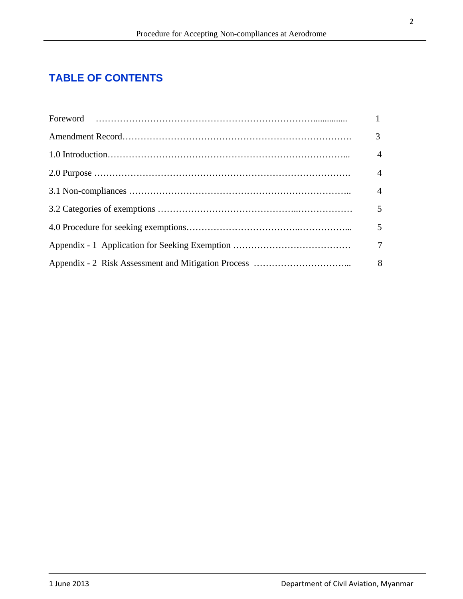# **TABLE OF CONTENTS**

| 3              |
|----------------|
| $\overline{4}$ |
| $\overline{4}$ |
| $\overline{4}$ |
| 5              |
| 5              |
| 7              |
|                |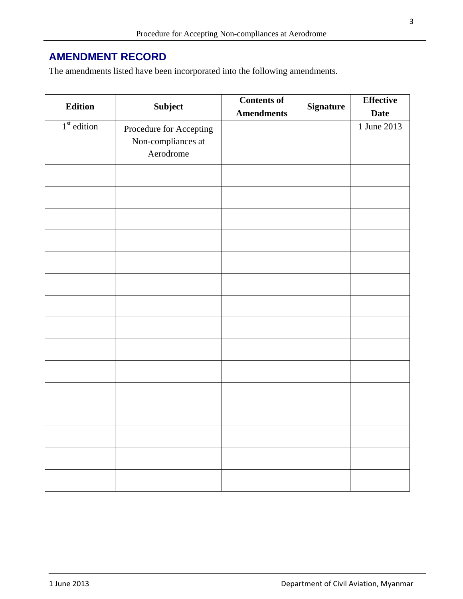# **AMENDMENT RECORD**

The amendments listed have been incorporated into the following amendments.

| <b>Edition</b> |                         | <b>Contents of</b> |                  | <b>Effective</b> |
|----------------|-------------------------|--------------------|------------------|------------------|
|                | Subject                 | <b>Amendments</b>  | <b>Signature</b> | <b>Date</b>      |
| $1st$ edition  | Procedure for Accepting |                    |                  | 1 June 2013      |
|                | Non-compliances at      |                    |                  |                  |
|                | Aerodrome               |                    |                  |                  |
|                |                         |                    |                  |                  |
|                |                         |                    |                  |                  |
|                |                         |                    |                  |                  |
|                |                         |                    |                  |                  |
|                |                         |                    |                  |                  |
|                |                         |                    |                  |                  |
|                |                         |                    |                  |                  |
|                |                         |                    |                  |                  |
|                |                         |                    |                  |                  |
|                |                         |                    |                  |                  |
|                |                         |                    |                  |                  |
|                |                         |                    |                  |                  |
|                |                         |                    |                  |                  |
|                |                         |                    |                  |                  |
|                |                         |                    |                  |                  |
|                |                         |                    |                  |                  |
|                |                         |                    |                  |                  |
|                |                         |                    |                  |                  |
|                |                         |                    |                  |                  |
|                |                         |                    |                  |                  |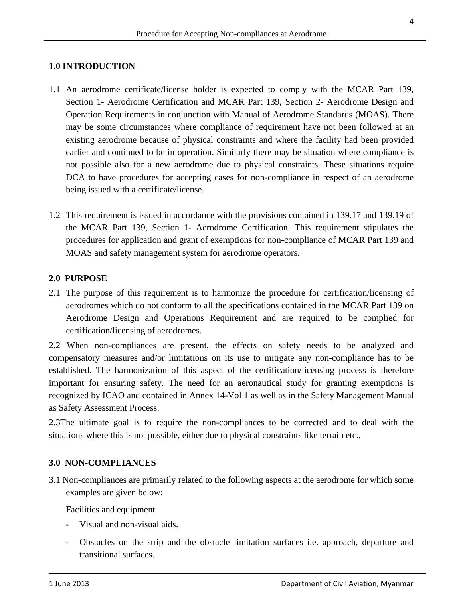## **1.0 INTRODUCTION**

- 1.1 An aerodrome certificate/license holder is expected to comply with the MCAR Part 139, Section 1- Aerodrome Certification and MCAR Part 139, Section 2- Aerodrome Design and Operation Requirements in conjunction with Manual of Aerodrome Standards (MOAS). There may be some circumstances where compliance of requirement have not been followed at an existing aerodrome because of physical constraints and where the facility had been provided earlier and continued to be in operation. Similarly there may be situation where compliance is not possible also for a new aerodrome due to physical constraints. These situations require DCA to have procedures for accepting cases for non-compliance in respect of an aerodrome being issued with a certificate/license.
- 1.2 This requirement is issued in accordance with the provisions contained in 139.17 and 139.19 of the MCAR Part 139, Section 1- Aerodrome Certification. This requirement stipulates the procedures for application and grant of exemptions for non-compliance of MCAR Part 139 and MOAS and safety management system for aerodrome operators.

#### **2.0 PURPOSE**

2.1 The purpose of this requirement is to harmonize the procedure for certification/licensing of aerodromes which do not conform to all the specifications contained in the MCAR Part 139 on Aerodrome Design and Operations Requirement and are required to be complied for certification/licensing of aerodromes.

2.2 When non-compliances are present, the effects on safety needs to be analyzed and compensatory measures and/or limitations on its use to mitigate any non-compliance has to be established. The harmonization of this aspect of the certification/licensing process is therefore important for ensuring safety. The need for an aeronautical study for granting exemptions is recognized by ICAO and contained in Annex 14-Vol 1 as well as in the Safety Management Manual as Safety Assessment Process.

2.3The ultimate goal is to require the non-compliances to be corrected and to deal with the situations where this is not possible, either due to physical constraints like terrain etc.,

#### **3.0 NON-COMPLIANCES**

3.1 Non-compliances are primarily related to the following aspects at the aerodrome for which some examples are given below:

Facilities and equipment

- Visual and non-visual aids.
- Obstacles on the strip and the obstacle limitation surfaces i.e. approach, departure and transitional surfaces.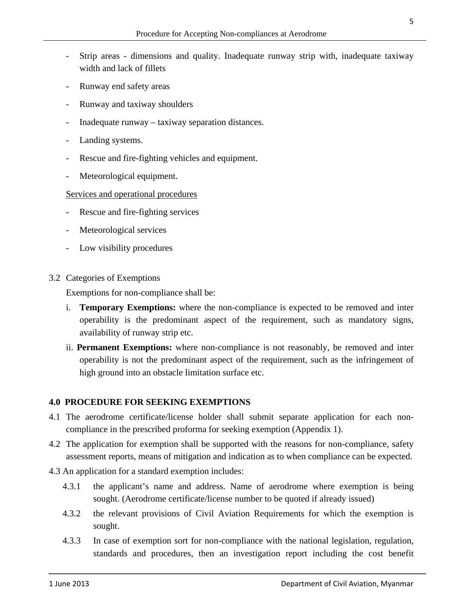- Strip areas dimensions and quality. Inadequate runway strip with, inadequate taxiway width and lack of fillets
- Runway end safety areas
- Runway and taxiway shoulders
- Inadequate runway taxiway separation distances.
- Landing systems.
- Rescue and fire-fighting vehicles and equipment.
- Meteorological equipment.

#### Services and operational procedures

- Rescue and fire-fighting services
- Meteorological services
- Low visibility procedures
- 3.2 Categories of Exemptions

Exemptions for non-compliance shall be:

- i. **Temporary Exemptions:** where the non-compliance is expected to be removed and inter operability is the predominant aspect of the requirement, such as mandatory signs, availability of runway strip etc.
- ii. **Permanent Exemptions:** where non-compliance is not reasonably, be removed and inter operability is not the predominant aspect of the requirement, such as the infringement of high ground into an obstacle limitation surface etc.

## **4.0 PROCEDURE FOR SEEKING EXEMPTIONS**

- 4.1 The aerodrome certificate/license holder shall submit separate application for each noncompliance in the prescribed proforma for seeking exemption (Appendix 1).
- 4.2 The application for exemption shall be supported with the reasons for non-compliance, safety assessment reports, means of mitigation and indication as to when compliance can be expected.
- 4.3 An application for a standard exemption includes:
	- 4.3.1 the applicant's name and address. Name of aerodrome where exemption is being sought. (Aerodrome certificate/license number to be quoted if already issued)
	- 4.3.2 the relevant provisions of Civil Aviation Requirements for which the exemption is sought.
	- 4.3.3 In case of exemption sort for non-compliance with the national legislation, regulation, standards and procedures, then an investigation report including the cost benefit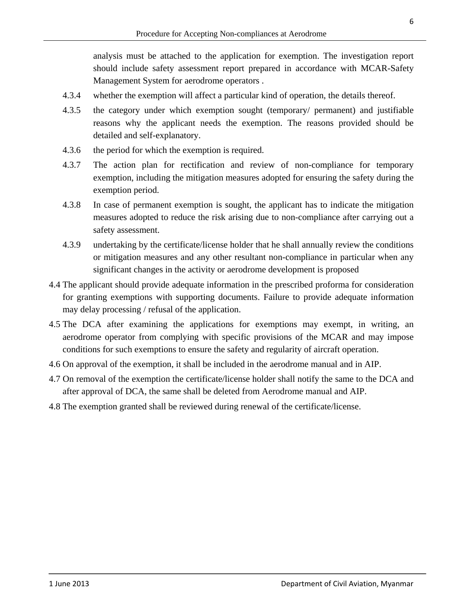analysis must be attached to the application for exemption. The investigation report should include safety assessment report prepared in accordance with MCAR-Safety Management System for aerodrome operators .

- 4.3.4 whether the exemption will affect a particular kind of operation, the details thereof.
- 4.3.5 the category under which exemption sought (temporary/ permanent) and justifiable reasons why the applicant needs the exemption. The reasons provided should be detailed and self-explanatory.
- 4.3.6 the period for which the exemption is required.
- 4.3.7 The action plan for rectification and review of non-compliance for temporary exemption, including the mitigation measures adopted for ensuring the safety during the exemption period.
- 4.3.8 In case of permanent exemption is sought, the applicant has to indicate the mitigation measures adopted to reduce the risk arising due to non-compliance after carrying out a safety assessment.
- 4.3.9 undertaking by the certificate/license holder that he shall annually review the conditions or mitigation measures and any other resultant non-compliance in particular when any significant changes in the activity or aerodrome development is proposed
- 4.4 The applicant should provide adequate information in the prescribed proforma for consideration for granting exemptions with supporting documents. Failure to provide adequate information may delay processing / refusal of the application.
- 4.5 The DCA after examining the applications for exemptions may exempt, in writing, an aerodrome operator from complying with specific provisions of the MCAR and may impose conditions for such exemptions to ensure the safety and regularity of aircraft operation.
- 4.6 On approval of the exemption, it shall be included in the aerodrome manual and in AIP.
- 4.7 On removal of the exemption the certificate/license holder shall notify the same to the DCA and after approval of DCA, the same shall be deleted from Aerodrome manual and AIP.
- 4.8 The exemption granted shall be reviewed during renewal of the certificate/license.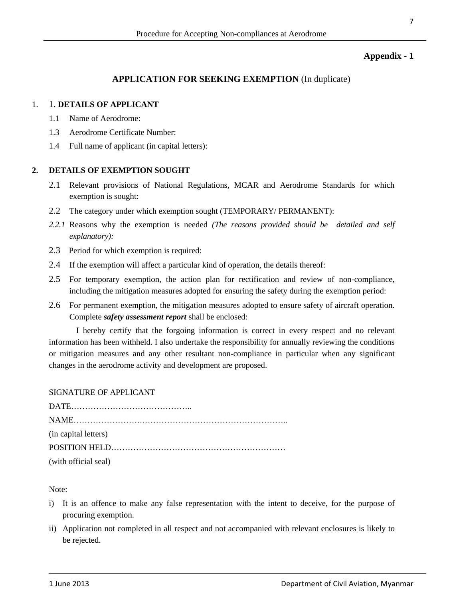#### **Appendix - 1**

#### **APPLICATION FOR SEEKING EXEMPTION** (In duplicate)

#### 1. 1. **DETAILS OF APPLICANT**

- 1.1 Name of Aerodrome:
- 1.3 Aerodrome Certificate Number:
- 1.4 Full name of applicant (in capital letters):

#### **2. DETAILS OF EXEMPTION SOUGHT**

- 2.1 Relevant provisions of National Regulations, MCAR and Aerodrome Standards for which exemption is sought:
- 2.2 The category under which exemption sought (TEMPORARY/ PERMANENT):
- *2.2.1* Reasons why the exemption is needed *(The reasons provided should be detailed and self explanatory):*
- 2.3 Period for which exemption is required:
- 2.4 If the exemption will affect a particular kind of operation, the details thereof:
- 2.5 For temporary exemption, the action plan for rectification and review of non-compliance, including the mitigation measures adopted for ensuring the safety during the exemption period:
- 2.6 For permanent exemption, the mitigation measures adopted to ensure safety of aircraft operation. Complete *safety assessment report* shall be enclosed:

I hereby certify that the forgoing information is correct in every respect and no relevant information has been withheld. I also undertake the responsibility for annually reviewing the conditions or mitigation measures and any other resultant non-compliance in particular when any significant changes in the aerodrome activity and development are proposed.

#### SIGNATURE OF APPLICANT

| (in capital letters) |
|----------------------|
|                      |
| (with official seal) |

Note:

- i) It is an offence to make any false representation with the intent to deceive, for the purpose of procuring exemption.
- ii) Application not completed in all respect and not accompanied with relevant enclosures is likely to be rejected.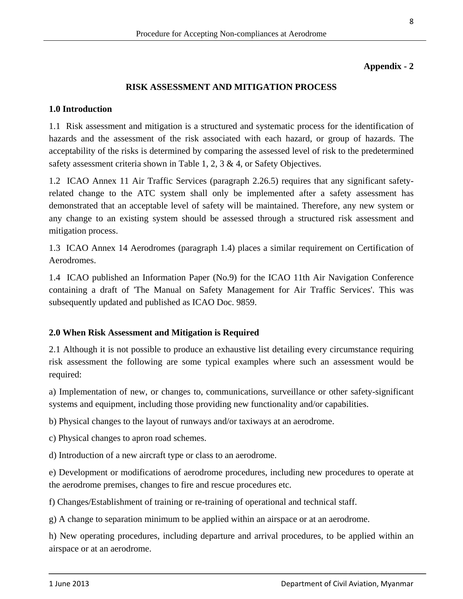#### **Appendix - 2**

#### **RISK ASSESSMENT AND MITIGATION PROCESS**

#### **1.0 Introduction**

1.1 Risk assessment and mitigation is a structured and systematic process for the identification of hazards and the assessment of the risk associated with each hazard, or group of hazards. The acceptability of the risks is determined by comparing the assessed level of risk to the predetermined safety assessment criteria shown in Table 1, 2, 3  $\&$  4, or Safety Objectives.

1.2 ICAO Annex 11 Air Traffic Services (paragraph 2.26.5) requires that any significant safetyrelated change to the ATC system shall only be implemented after a safety assessment has demonstrated that an acceptable level of safety will be maintained. Therefore, any new system or any change to an existing system should be assessed through a structured risk assessment and mitigation process.

1.3 ICAO Annex 14 Aerodromes (paragraph 1.4) places a similar requirement on Certification of Aerodromes.

1.4 ICAO published an Information Paper (No.9) for the ICAO 11th Air Navigation Conference containing a draft of 'The Manual on Safety Management for Air Traffic Services'. This was subsequently updated and published as ICAO Doc. 9859.

## **2.0 When Risk Assessment and Mitigation is Required**

2.1 Although it is not possible to produce an exhaustive list detailing every circumstance requiring risk assessment the following are some typical examples where such an assessment would be required:

a) Implementation of new, or changes to, communications, surveillance or other safety-significant systems and equipment, including those providing new functionality and/or capabilities.

b) Physical changes to the layout of runways and/or taxiways at an aerodrome.

c) Physical changes to apron road schemes.

d) Introduction of a new aircraft type or class to an aerodrome.

e) Development or modifications of aerodrome procedures, including new procedures to operate at the aerodrome premises, changes to fire and rescue procedures etc.

f) Changes/Establishment of training or re-training of operational and technical staff.

g) A change to separation minimum to be applied within an airspace or at an aerodrome.

h) New operating procedures, including departure and arrival procedures, to be applied within an airspace or at an aerodrome.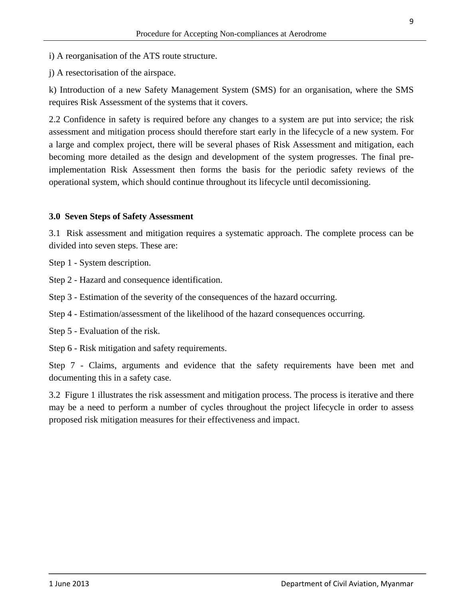j) A resectorisation of the airspace.

k) Introduction of a new Safety Management System (SMS) for an organisation, where the SMS requires Risk Assessment of the systems that it covers.

2.2 Confidence in safety is required before any changes to a system are put into service; the risk assessment and mitigation process should therefore start early in the lifecycle of a new system. For a large and complex project, there will be several phases of Risk Assessment and mitigation, each becoming more detailed as the design and development of the system progresses. The final preimplementation Risk Assessment then forms the basis for the periodic safety reviews of the operational system, which should continue throughout its lifecycle until decomissioning.

#### **3.0 Seven Steps of Safety Assessment**

3.1 Risk assessment and mitigation requires a systematic approach. The complete process can be divided into seven steps. These are:

Step 1 - System description.

Step 2 - Hazard and consequence identification.

Step 3 - Estimation of the severity of the consequences of the hazard occurring.

Step 4 - Estimation/assessment of the likelihood of the hazard consequences occurring.

Step 5 - Evaluation of the risk.

Step 6 - Risk mitigation and safety requirements.

Step 7 - Claims, arguments and evidence that the safety requirements have been met and documenting this in a safety case.

3.2 Figure 1 illustrates the risk assessment and mitigation process. The process is iterative and there may be a need to perform a number of cycles throughout the project lifecycle in order to assess proposed risk mitigation measures for their effectiveness and impact.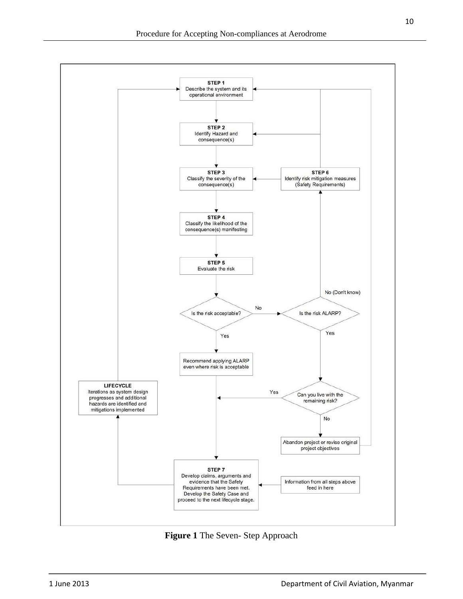

**Figure 1** The Seven- Step Approach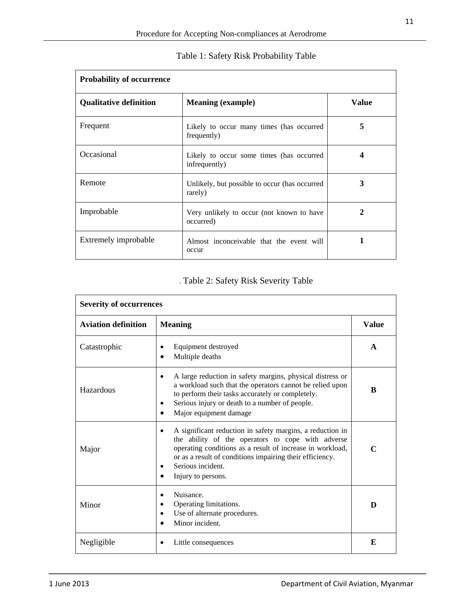| <b>Probability of occurrence</b> |                                                           |              |  |  |
|----------------------------------|-----------------------------------------------------------|--------------|--|--|
| <b>Qualitative definition</b>    | <b>Meaning (example)</b>                                  | <b>Value</b> |  |  |
| Frequent                         | Likely to occur many times (has occurred<br>frequently)   | 5            |  |  |
| Occasional                       | Likely to occur some times (has occurred<br>infrequently) |              |  |  |
| Remote                           | Unlikely, but possible to occur (has occurred<br>rarely)  | 3            |  |  |
| Improbable                       | Very unlikely to occur (not known to have<br>occurred)    | 2            |  |  |
| Extremely improbable             | Almost inconceivable that the event will<br>occur         |              |  |  |

# Table 1: Safety Risk Probability Table

# . Table 2: Safety Risk Severity Table

| <b>Severity of occurrences</b>               |                                                                                                                                                                                                                                                                                                                   |              |  |  |
|----------------------------------------------|-------------------------------------------------------------------------------------------------------------------------------------------------------------------------------------------------------------------------------------------------------------------------------------------------------------------|--------------|--|--|
| <b>Meaning</b><br><b>Aviation definition</b> |                                                                                                                                                                                                                                                                                                                   |              |  |  |
| Catastrophic                                 | Equipment destroyed<br>Multiple deaths                                                                                                                                                                                                                                                                            | $\mathbf{A}$ |  |  |
| Hazardous                                    | A large reduction in safety margins, physical distress or<br>$\bullet$<br>a workload such that the operators cannot be relied upon<br>to perform their tasks accurately or completely.<br>Serious injury or death to a number of people.<br>٠<br>Major equipment damage                                           | B            |  |  |
| Major                                        | A significant reduction in safety margins, a reduction in<br>$\bullet$<br>the ability of the operators to cope with adverse<br>operating conditions as a result of increase in workload,<br>or as a result of conditions impairing their efficiency.<br>Serious incident.<br>$\bullet$<br>Injury to persons.<br>٠ | C            |  |  |
| Minor                                        | Nuisance.<br>$\bullet$<br>Operating limitations.<br>$\bullet$<br>Use of alternate procedures.<br>$\bullet$<br>Minor incident.<br>$\bullet$                                                                                                                                                                        | D            |  |  |
| Negligible                                   | Little consequences                                                                                                                                                                                                                                                                                               | E            |  |  |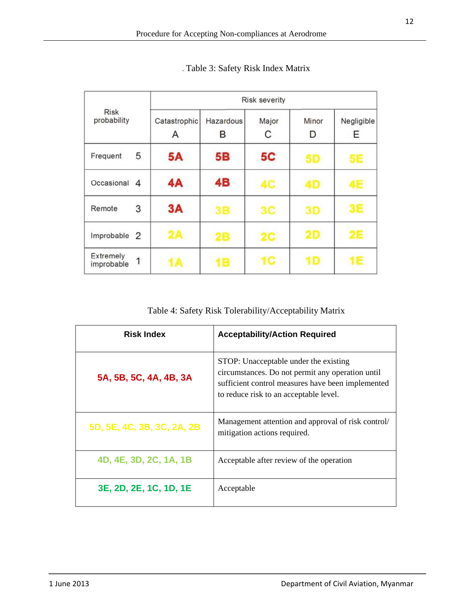|                                     |                   | <b>Risk severity</b> |            |            |                 |
|-------------------------------------|-------------------|----------------------|------------|------------|-----------------|
| <b>Risk</b><br>probability          | Catastrophic<br>А | Hazardous<br>в       | Major<br>С | Minor<br>D | Negligible<br>Ε |
| 5<br>Frequent                       | 5A                | 5B                   | <b>5C</b>  | 5D         | 5E              |
| Occasional<br>4                     | 4A                | 4B                   | 4C         | 40         | 4E              |
| 3<br>Remote                         | 3A                | 3B                   | 3C         | 3D         | 3E              |
| Improbable<br>2                     | 2A                | 2Β                   | 2C         | 2D         | 2E              |
| <b>Extremely</b><br>1<br>improbable |                   | E                    | 1C         | 1 D        | <b>1E</b>       |

. Table 3: Safety Risk Index Matrix

Table 4: Safety Risk Tolerability/Acceptability Matrix

| <b>Risk Index</b>          | <b>Acceptability/Action Required</b>                                                                                                                                                     |
|----------------------------|------------------------------------------------------------------------------------------------------------------------------------------------------------------------------------------|
| 5A, 5B, 5C, 4A, 4B, 3A     | STOP: Unacceptable under the existing<br>circumstances. Do not permit any operation until<br>sufficient control measures have been implemented<br>to reduce risk to an acceptable level. |
| 5D, 5E, 4C, 3B, 3C, 2A, 2B | Management attention and approval of risk control/<br>mitigation actions required.                                                                                                       |
| 4D, 4E, 3D, 2C, 1A, 1B     | Acceptable after review of the operation                                                                                                                                                 |
| 3E, 2D, 2E, 1C, 1D, 1E     | Acceptable                                                                                                                                                                               |